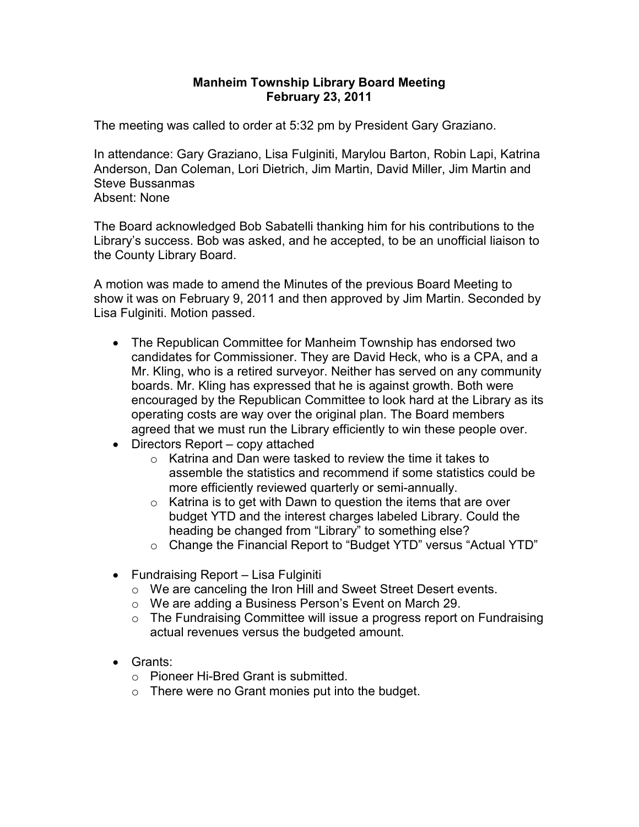## **Manheim Township Library Board Meeting February 23, 2011**

The meeting was called to order at 5:32 pm by President Gary Graziano.

In attendance: Gary Graziano, Lisa Fulginiti, Marylou Barton, Robin Lapi, Katrina Anderson, Dan Coleman, Lori Dietrich, Jim Martin, David Miller, Jim Martin and Steve Bussanmas Absent: None

The Board acknowledged Bob Sabatelli thanking him for his contributions to the Library's success. Bob was asked, and he accepted, to be an unofficial liaison to the County Library Board.

A motion was made to amend the Minutes of the previous Board Meeting to show it was on February 9, 2011 and then approved by Jim Martin. Seconded by Lisa Fulginiti. Motion passed.

- The Republican Committee for Manheim Township has endorsed two candidates for Commissioner. They are David Heck, who is a CPA, and a Mr. Kling, who is a retired surveyor. Neither has served on any community boards. Mr. Kling has expressed that he is against growth. Both were encouraged by the Republican Committee to look hard at the Library as its operating costs are way over the original plan. The Board members agreed that we must run the Library efficiently to win these people over.
- Directors Report copy attached
	- o Katrina and Dan were tasked to review the time it takes to assemble the statistics and recommend if some statistics could be more efficiently reviewed quarterly or semi-annually.
	- $\circ$  Katrina is to get with Dawn to question the items that are over budget YTD and the interest charges labeled Library. Could the heading be changed from "Library" to something else?
	- o Change the Financial Report to "Budget YTD" versus "Actual YTD"
- Fundraising Report Lisa Fulginiti
	- o We are canceling the Iron Hill and Sweet Street Desert events.
	- o We are adding a Business Person's Event on March 29.
	- o The Fundraising Committee will issue a progress report on Fundraising actual revenues versus the budgeted amount.
- Grants:
	- o Pioneer Hi-Bred Grant is submitted.
	- $\circ$  There were no Grant monies put into the budget.